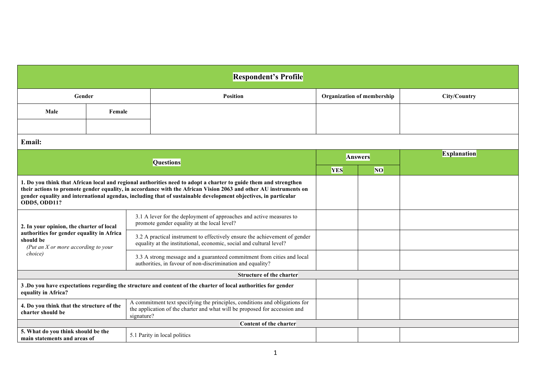| <b>Respondent's Profile</b>                                                                                                                                                                                                                                                                                                                                                   |        |  |                                                                                                                                                                         |                            |           |                    |  |  |  |
|-------------------------------------------------------------------------------------------------------------------------------------------------------------------------------------------------------------------------------------------------------------------------------------------------------------------------------------------------------------------------------|--------|--|-------------------------------------------------------------------------------------------------------------------------------------------------------------------------|----------------------------|-----------|--------------------|--|--|--|
| Gender                                                                                                                                                                                                                                                                                                                                                                        |        |  | <b>Position</b>                                                                                                                                                         | Organization of membership |           | City/Country       |  |  |  |
| Male                                                                                                                                                                                                                                                                                                                                                                          | Female |  |                                                                                                                                                                         |                            |           |                    |  |  |  |
|                                                                                                                                                                                                                                                                                                                                                                               |        |  |                                                                                                                                                                         |                            |           |                    |  |  |  |
| Email:                                                                                                                                                                                                                                                                                                                                                                        |        |  |                                                                                                                                                                         |                            |           |                    |  |  |  |
| <b>Questions</b>                                                                                                                                                                                                                                                                                                                                                              |        |  |                                                                                                                                                                         | <b>Answers</b>             |           | <b>Explanation</b> |  |  |  |
|                                                                                                                                                                                                                                                                                                                                                                               |        |  |                                                                                                                                                                         | <b>YES</b>                 | <b>NO</b> |                    |  |  |  |
| 1. Do you think that African local and regional authorities need to adopt a charter to guide them and strengthen<br>their actions to promote gender equality, in accordance with the African Vision 2063 and other AU instruments on<br>gender equality and international agendas, including that of sustainable development objectives, in particular<br><b>ODD5, ODD11?</b> |        |  |                                                                                                                                                                         |                            |           |                    |  |  |  |
| 2. In your opinion, the charter of local<br>authorities for gender equality in Africa<br>should be<br>(Put an $X$ or more according to your<br>choice)                                                                                                                                                                                                                        |        |  | 3.1 A lever for the deployment of approaches and active measures to<br>promote gender equality at the local level?                                                      |                            |           |                    |  |  |  |
|                                                                                                                                                                                                                                                                                                                                                                               |        |  | 3.2 A practical instrument to effectively ensure the achievement of gender<br>equality at the institutional, economic, social and cultural level?                       |                            |           |                    |  |  |  |
|                                                                                                                                                                                                                                                                                                                                                                               |        |  | 3.3 A strong message and a guaranteed commitment from cities and local<br>authorities, in favour of non-discrimination and equality?                                    |                            |           |                    |  |  |  |
|                                                                                                                                                                                                                                                                                                                                                                               |        |  | <b>Structure of the charter</b>                                                                                                                                         |                            |           |                    |  |  |  |
| 3. Do you have expectations regarding the structure and content of the charter of local authorities for gender<br>equality in Africa?                                                                                                                                                                                                                                         |        |  |                                                                                                                                                                         |                            |           |                    |  |  |  |
| 4. Do you think that the structure of the<br>charter should be                                                                                                                                                                                                                                                                                                                |        |  | A commitment text specifying the principles, conditions and obligations for<br>the application of the charter and what will be proposed for accession and<br>signature? |                            |           |                    |  |  |  |
|                                                                                                                                                                                                                                                                                                                                                                               |        |  | Content of the charter                                                                                                                                                  |                            |           |                    |  |  |  |
| 5. What do you think should be the<br>main statements and areas of                                                                                                                                                                                                                                                                                                            |        |  | 5.1 Parity in local politics                                                                                                                                            |                            |           |                    |  |  |  |